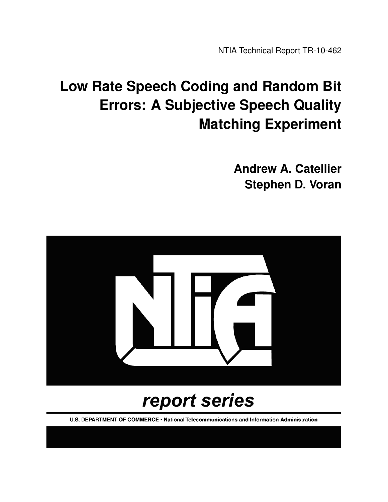NTIA Technical Report TR-10-462

# **Low Rate Speech Coding and Random Bit Errors: A Subjective Speech Quality Matching Experiment**

**Andrew A. Catellier Stephen D. Voran**



# report series

U.S. DEPARTMENT OF COMMERCE · National Telecommunications and Information Administration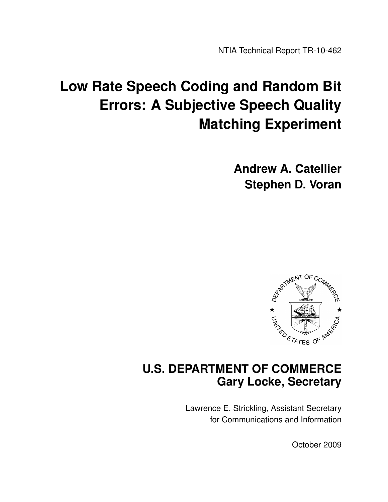NTIA Technical Report TR-10-462

# **Low Rate Speech Coding and Random Bit Errors: A Subjective Speech Quality Matching Experiment**

**Andrew A. Catellier Stephen D. Voran**



## **U.S. DEPARTMENT OF COMMERCE Gary Locke, Secretary**

Lawrence E. Strickling, Assistant Secretary for Communications and Information

October 2009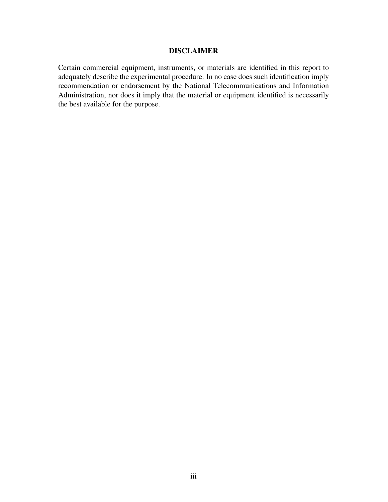#### DISCLAIMER

Certain commercial equipment, instruments, or materials are identified in this report to adequately describe the experimental procedure. In no case does such identification imply recommendation or endorsement by the National Telecommunications and Information Administration, nor does it imply that the material or equipment identified is necessarily the best available for the purpose.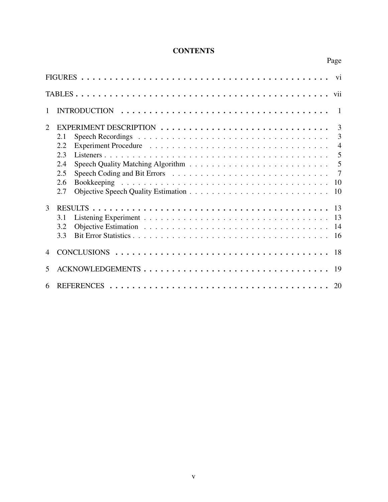## **CONTENTS**

Page

| 1                           | $\blacksquare$                                                                                                    |
|-----------------------------|-------------------------------------------------------------------------------------------------------------------|
| $\mathcal{D}_{\mathcal{L}}$ | 3<br>3<br>Speech Recordings $\ldots \ldots \ldots \ldots \ldots \ldots \ldots \ldots \ldots \ldots \ldots$<br>2.1 |
|                             | $\overline{4}$<br>2.2                                                                                             |
|                             | 2.3<br>2.4                                                                                                        |
|                             | $\overline{7}$<br>2.5                                                                                             |
|                             | 10<br>2.6<br>2.7<br>10                                                                                            |
| 3                           |                                                                                                                   |
|                             | 13<br>3.1                                                                                                         |
|                             | 3.2<br>-14<br>3.3<br>16                                                                                           |
|                             | 18                                                                                                                |
| 5                           | ACKNOWLEDGEMENTS<br>-19                                                                                           |
| 6                           | 20                                                                                                                |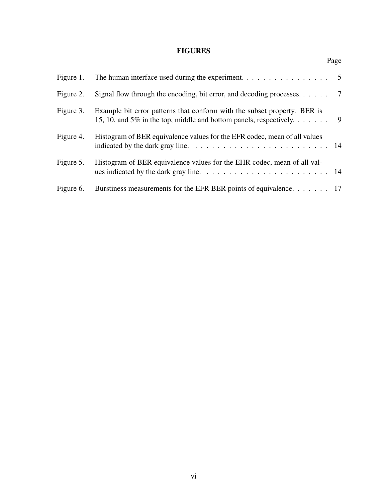## FIGURES

Page

| Figure 1. | The human interface used during the experiment. $\dots \dots \dots \dots \dots \dots$                                                                                               |  |
|-----------|-------------------------------------------------------------------------------------------------------------------------------------------------------------------------------------|--|
| Figure 2. |                                                                                                                                                                                     |  |
| Figure 3. | Example bit error patterns that conform with the subset property. BER is<br>15, 10, and 5% in the top, middle and bottom panels, respectively. $\dots \dots$ .                      |  |
| Figure 4. | Histogram of BER equivalence values for the EFR codec, mean of all values<br>indicated by the dark gray line. $\ldots \ldots \ldots \ldots \ldots \ldots \ldots \ldots \ldots 14$   |  |
| Figure 5. | Histogram of BER equivalence values for the EHR codec, mean of all val-<br>ues indicated by the dark gray line. $\ldots \ldots \ldots \ldots \ldots \ldots \ldots \ldots \ldots$ 14 |  |
| Figure 6. | Burstiness measurements for the EFR BER points of equivalence. 17                                                                                                                   |  |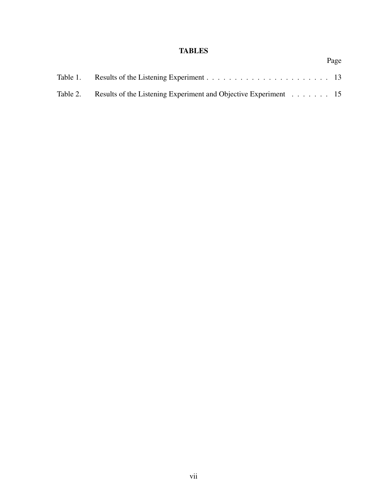## **TABLES**

| Table 2. Results of the Listening Experiment and Objective Experiment 15 |  |
|--------------------------------------------------------------------------|--|

Page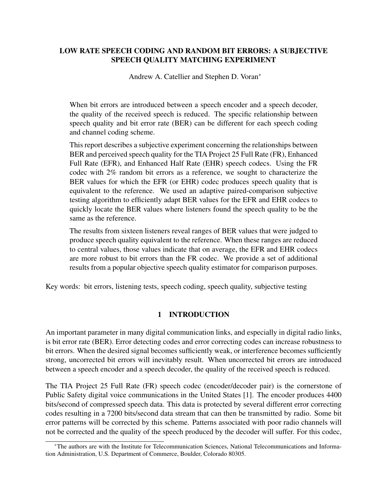#### LOW RATE SPEECH CODING AND RANDOM BIT ERRORS: A SUBJECTIVE SPEECH QUALITY MATCHING EXPERIMENT

Andrew A. Catellier and Stephen D. Voran∗

When bit errors are introduced between a speech encoder and a speech decoder, the quality of the received speech is reduced. The specific relationship between speech quality and bit error rate (BER) can be different for each speech coding and channel coding scheme.

This report describes a subjective experiment concerning the relationships between BER and perceived speech quality for the TIA Project 25 Full Rate (FR), Enhanced Full Rate (EFR), and Enhanced Half Rate (EHR) speech codecs. Using the FR codec with 2% random bit errors as a reference, we sought to characterize the BER values for which the EFR (or EHR) codec produces speech quality that is equivalent to the reference. We used an adaptive paired-comparison subjective testing algorithm to efficiently adapt BER values for the EFR and EHR codecs to quickly locate the BER values where listeners found the speech quality to be the same as the reference.

The results from sixteen listeners reveal ranges of BER values that were judged to produce speech quality equivalent to the reference. When these ranges are reduced to central values, those values indicate that on average, the EFR and EHR codecs are more robust to bit errors than the FR codec. We provide a set of additional results from a popular objective speech quality estimator for comparison purposes.

Key words: bit errors, listening tests, speech coding, speech quality, subjective testing

#### 1 INTRODUCTION

An important parameter in many digital communication links, and especially in digital radio links, is bit error rate (BER). Error detecting codes and error correcting codes can increase robustness to bit errors. When the desired signal becomes sufficiently weak, or interference becomes sufficiently strong, uncorrected bit errors will inevitably result. When uncorrected bit errors are introduced between a speech encoder and a speech decoder, the quality of the received speech is reduced.

The TIA Project 25 Full Rate (FR) speech codec (encoder/decoder pair) is the cornerstone of Public Safety digital voice communications in the United States [1]. The encoder produces 4400 bits/second of compressed speech data. This data is protected by several different error correcting codes resulting in a 7200 bits/second data stream that can then be transmitted by radio. Some bit error patterns will be corrected by this scheme. Patterns associated with poor radio channels will not be corrected and the quality of the speech produced by the decoder will suffer. For this codec,

<sup>∗</sup>The authors are with the Institute for Telecommunication Sciences, National Telecommunications and Information Administration, U.S. Department of Commerce, Boulder, Colorado 80305.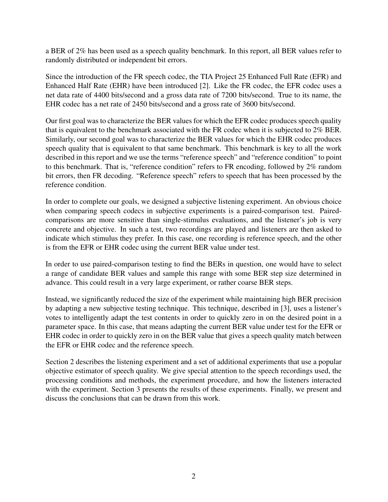a BER of 2% has been used as a speech quality benchmark. In this report, all BER values refer to randomly distributed or independent bit errors.

Since the introduction of the FR speech codec, the TIA Project 25 Enhanced Full Rate (EFR) and Enhanced Half Rate (EHR) have been introduced [2]. Like the FR codec, the EFR codec uses a net data rate of 4400 bits/second and a gross data rate of 7200 bits/second. True to its name, the EHR codec has a net rate of 2450 bits/second and a gross rate of 3600 bits/second.

Our first goal was to characterize the BER values for which the EFR codec produces speech quality that is equivalent to the benchmark associated with the FR codec when it is subjected to 2% BER. Similarly, our second goal was to characterize the BER values for which the EHR codec produces speech quality that is equivalent to that same benchmark. This benchmark is key to all the work described in this report and we use the terms "reference speech" and "reference condition" to point to this benchmark. That is, "reference condition" refers to FR encoding, followed by 2% random bit errors, then FR decoding. "Reference speech" refers to speech that has been processed by the reference condition.

In order to complete our goals, we designed a subjective listening experiment. An obvious choice when comparing speech codecs in subjective experiments is a paired-comparison test. Pairedcomparisons are more sensitive than single-stimulus evaluations, and the listener's job is very concrete and objective. In such a test, two recordings are played and listeners are then asked to indicate which stimulus they prefer. In this case, one recording is reference speech, and the other is from the EFR or EHR codec using the current BER value under test.

In order to use paired-comparison testing to find the BERs in question, one would have to select a range of candidate BER values and sample this range with some BER step size determined in advance. This could result in a very large experiment, or rather coarse BER steps.

Instead, we significantly reduced the size of the experiment while maintaining high BER precision by adapting a new subjective testing technique. This technique, described in [3], uses a listener's votes to intelligently adapt the test contents in order to quickly zero in on the desired point in a parameter space. In this case, that means adapting the current BER value under test for the EFR or EHR codec in order to quickly zero in on the BER value that gives a speech quality match between the EFR or EHR codec and the reference speech.

Section 2 describes the listening experiment and a set of additional experiments that use a popular objective estimator of speech quality. We give special attention to the speech recordings used, the processing conditions and methods, the experiment procedure, and how the listeners interacted with the experiment. Section 3 presents the results of these experiments. Finally, we present and discuss the conclusions that can be drawn from this work.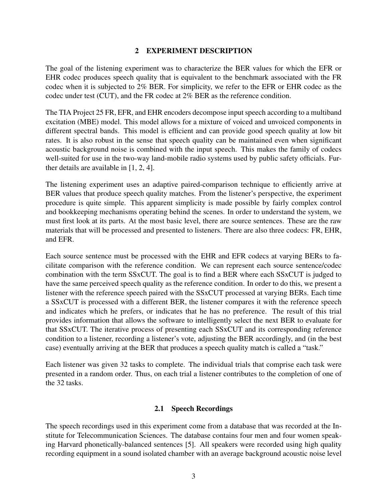#### 2 EXPERIMENT DESCRIPTION

The goal of the listening experiment was to characterize the BER values for which the EFR or EHR codec produces speech quality that is equivalent to the benchmark associated with the FR codec when it is subjected to 2% BER. For simplicity, we refer to the EFR or EHR codec as the codec under test (CUT), and the FR codec at 2% BER as the reference condition.

The TIA Project 25 FR, EFR, and EHR encoders decompose input speech according to a multiband excitation (MBE) model. This model allows for a mixture of voiced and unvoiced components in different spectral bands. This model is efficient and can provide good speech quality at low bit rates. It is also robust in the sense that speech quality can be maintained even when significant acoustic background noise is combined with the input speech. This makes the family of codecs well-suited for use in the two-way land-mobile radio systems used by public safety officials. Further details are available in [1, 2, 4].

The listening experiment uses an adaptive paired-comparison technique to efficiently arrive at BER values that produce speech quality matches. From the listener's perspective, the experiment procedure is quite simple. This apparent simplicity is made possible by fairly complex control and bookkeeping mechanisms operating behind the scenes. In order to understand the system, we must first look at its parts. At the most basic level, there are source sentences. These are the raw materials that will be processed and presented to listeners. There are also three codecs: FR, EHR, and EFR.

Each source sentence must be processed with the EHR and EFR codecs at varying BERs to facilitate comparison with the reference condition. We can represent each source sentence/codec combination with the term SSxCUT. The goal is to find a BER where each SSxCUT is judged to have the same perceived speech quality as the reference condition. In order to do this, we present a listener with the reference speech paired with the SSxCUT processed at varying BERs. Each time a SSxCUT is processed with a different BER, the listener compares it with the reference speech and indicates which he prefers, or indicates that he has no preference. The result of this trial provides information that allows the software to intelligently select the next BER to evaluate for that SSxCUT. The iterative process of presenting each SSxCUT and its corresponding reference condition to a listener, recording a listener's vote, adjusting the BER accordingly, and (in the best case) eventually arriving at the BER that produces a speech quality match is called a "task."

Each listener was given 32 tasks to complete. The individual trials that comprise each task were presented in a random order. Thus, on each trial a listener contributes to the completion of one of the 32 tasks.

#### 2.1 Speech Recordings

The speech recordings used in this experiment come from a database that was recorded at the Institute for Telecommunication Sciences. The database contains four men and four women speaking Harvard phonetically-balanced sentences [5]. All speakers were recorded using high quality recording equipment in a sound isolated chamber with an average background acoustic noise level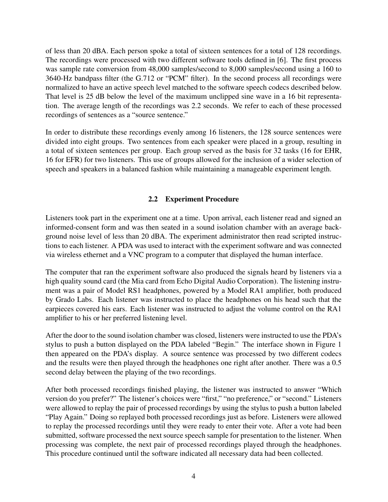of less than 20 dBA. Each person spoke a total of sixteen sentences for a total of 128 recordings. The recordings were processed with two different software tools defined in [6]. The first process was sample rate conversion from 48,000 samples/second to 8,000 samples/second using a 160 to 3640-Hz bandpass filter (the G.712 or "PCM" filter). In the second process all recordings were normalized to have an active speech level matched to the software speech codecs described below. That level is 25 dB below the level of the maximum unclipped sine wave in a 16 bit representation. The average length of the recordings was 2.2 seconds. We refer to each of these processed recordings of sentences as a "source sentence."

In order to distribute these recordings evenly among 16 listeners, the 128 source sentences were divided into eight groups. Two sentences from each speaker were placed in a group, resulting in a total of sixteen sentences per group. Each group served as the basis for 32 tasks (16 for EHR, 16 for EFR) for two listeners. This use of groups allowed for the inclusion of a wider selection of speech and speakers in a balanced fashion while maintaining a manageable experiment length.

#### 2.2 Experiment Procedure

Listeners took part in the experiment one at a time. Upon arrival, each listener read and signed an informed-consent form and was then seated in a sound isolation chamber with an average background noise level of less than 20 dBA. The experiment administrator then read scripted instructions to each listener. A PDA was used to interact with the experiment software and was connected via wireless ethernet and a VNC program to a computer that displayed the human interface.

The computer that ran the experiment software also produced the signals heard by listeners via a high quality sound card (the Mia card from Echo Digital Audio Corporation). The listening instrument was a pair of Model RS1 headphones, powered by a Model RA1 amplifier, both produced by Grado Labs. Each listener was instructed to place the headphones on his head such that the earpieces covered his ears. Each listener was instructed to adjust the volume control on the RA1 amplifier to his or her preferred listening level.

After the door to the sound isolation chamber was closed, listeners were instructed to use the PDA's stylus to push a button displayed on the PDA labeled "Begin." The interface shown in Figure 1 then appeared on the PDA's display. A source sentence was processed by two different codecs and the results were then played through the headphones one right after another. There was a 0.5 second delay between the playing of the two recordings.

After both processed recordings finished playing, the listener was instructed to answer "Which version do you prefer?" The listener's choices were "first," "no preference," or "second." Listeners were allowed to replay the pair of processed recordings by using the stylus to push a button labeled "Play Again." Doing so replayed both processed recordings just as before. Listeners were allowed to replay the processed recordings until they were ready to enter their vote. After a vote had been submitted, software processed the next source speech sample for presentation to the listener. When processing was complete, the next pair of processed recordings played through the headphones. This procedure continued until the software indicated all necessary data had been collected.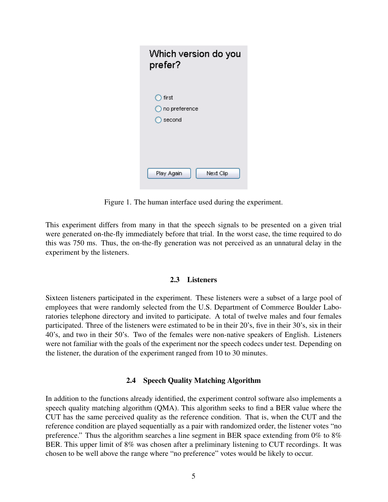| Which version do you<br>prefer?    |
|------------------------------------|
| first<br>no preference<br>) second |
| Play Again<br>Next Clip            |

Figure 1. The human interface used during the experiment.

This experiment differs from many in that the speech signals to be presented on a given trial were generated on-the-fly immediately before that trial. In the worst case, the time required to do this was 750 ms. Thus, the on-the-fly generation was not perceived as an unnatural delay in the experiment by the listeners.

#### 2.3 Listeners

Sixteen listeners participated in the experiment. These listeners were a subset of a large pool of employees that were randomly selected from the U.S. Department of Commerce Boulder Laboratories telephone directory and invited to participate. A total of twelve males and four females participated. Three of the listeners were estimated to be in their 20's, five in their 30's, six in their 40's, and two in their 50's. Two of the females were non-native speakers of English. Listeners were not familiar with the goals of the experiment nor the speech codecs under test. Depending on the listener, the duration of the experiment ranged from 10 to 30 minutes.

#### 2.4 Speech Quality Matching Algorithm

In addition to the functions already identified, the experiment control software also implements a speech quality matching algorithm (QMA). This algorithm seeks to find a BER value where the CUT has the same perceived quality as the reference condition. That is, when the CUT and the reference condition are played sequentially as a pair with randomized order, the listener votes "no preference." Thus the algorithm searches a line segment in BER space extending from 0% to 8% BER. This upper limit of 8% was chosen after a preliminary listening to CUT recordings. It was chosen to be well above the range where "no preference" votes would be likely to occur.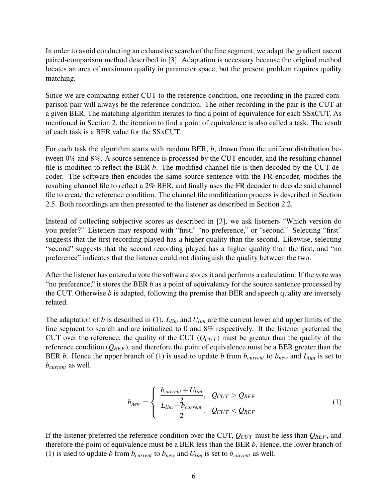In order to avoid conducting an exhaustive search of the line segment, we adapt the gradient ascent paired-comparison method described in [3]. Adaptation is necessary because the original method locates an area of maximum quality in parameter space, but the present problem requires quality matching.

Since we are comparing either CUT to the reference condition, one recording in the paired comparison pair will always be the reference condition. The other recording in the pair is the CUT at a given BER. The matching algorithm iterates to find a point of equivalence for each SSxCUT. As mentioned in Section 2, the iteration to find a point of equivalence is also called a task. The result of each task is a BER value for the SSxCUT.

For each task the algorithm starts with random BER, *b*, drawn from the uniform distribution between 0% and 8%. A source sentence is processed by the CUT encoder, and the resulting channel file is modified to reflect the BER *b*. The modified channel file is then decoded by the CUT decoder. The software then encodes the same source sentence with the FR encoder, modifies the resulting channel file to reflect a 2% BER, and finally uses the FR decoder to decode said channel file to create the reference condition. The channel file modification process is described in Section 2.5. Both recordings are then presented to the listener as described in Section 2.2.

Instead of collecting subjective scores as described in [3], we ask listeners "Which version do you prefer?" Listeners may respond with "first," "no preference," or "second." Selecting "first" suggests that the first recording played has a higher quality than the second. Likewise, selecting "second" suggests that the second recording played has a higher quality than the first, and "no preference" indicates that the listener could not distinguish the quality between the two.

After the listener has entered a vote the software stores it and performs a calculation. If the vote was "no preference," it stores the BER *b* as a point of equivalency for the source sentence processed by the CUT. Otherwise *b* is adapted, following the premise that BER and speech quality are inversely related.

The adaptation of *b* is described in (1). *Llim* and *Ulim* are the current lower and upper limits of the line segment to search and are initialized to 0 and 8% respectively. If the listener preferred the CUT over the reference, the quality of the CUT  $(Q_{CUT})$  must be greater than the quality of the reference condition  $(Q_{REF})$ , and therefore the point of equivalence must be a BER greater than the BER *b*. Hence the upper branch of (1) is used to update *b* from  $b_{current}$  to  $b_{new}$  and  $L_{lim}$  is set to *bcurrent* as well.

$$
b_{new} = \begin{cases} \frac{b_{current} + U_{lim}}{2}, & Q_{CUT} > Q_{REF} \\ \frac{L_{lim} + b_{current}}{2}, & Q_{CUT} < Q_{REF} \end{cases}
$$
(1)

If the listener preferred the reference condition over the CUT,  $Q_{CUT}$  must be less than  $Q_{REF}$ , and therefore the point of equivalence must be a BER less than the BER *b*. Hence, the lower branch of (1) is used to update *b* from  $b_{current}$  to  $b_{new}$  and  $U_{lim}$  is set to  $b_{current}$  as well.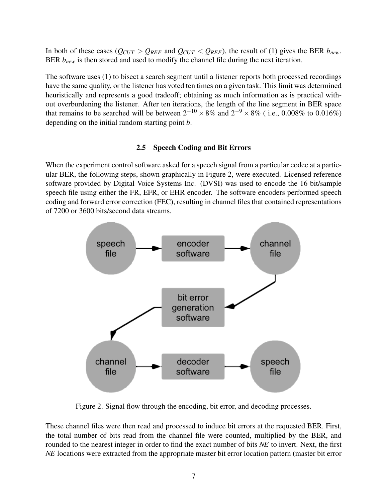In both of these cases ( $Q_{CUT} > Q_{REF}$  and  $Q_{CUT} < Q_{REF}$ ), the result of (1) gives the BER  $b_{new}$ . BER  $b_{new}$  is then stored and used to modify the channel file during the next iteration.

The software uses (1) to bisect a search segment until a listener reports both processed recordings have the same quality, or the listener has voted ten times on a given task. This limit was determined heuristically and represents a good tradeoff; obtaining as much information as is practical without overburdening the listener. After ten iterations, the length of the line segment in BER space that remains to be searched will be between  $2^{-10} \times 8\%$  and  $2^{-9} \times 8\%$  (i.e., 0.008% to 0.016%) depending on the initial random starting point *b*.

#### 2.5 Speech Coding and Bit Errors

When the experiment control software asked for a speech signal from a particular codec at a particular BER, the following steps, shown graphically in Figure 2, were executed. Licensed reference software provided by Digital Voice Systems Inc. (DVSI) was used to encode the 16 bit/sample speech file using either the FR, EFR, or EHR encoder. The software encoders performed speech coding and forward error correction (FEC), resulting in channel files that contained representations of 7200 or 3600 bits/second data streams.



Figure 2. Signal flow through the encoding, bit error, and decoding processes.

These channel files were then read and processed to induce bit errors at the requested BER. First, the total number of bits read from the channel file were counted, multiplied by the BER, and rounded to the nearest integer in order to find the exact number of bits *NE* to invert. Next, the first *NE* locations were extracted from the appropriate master bit error location pattern (master bit error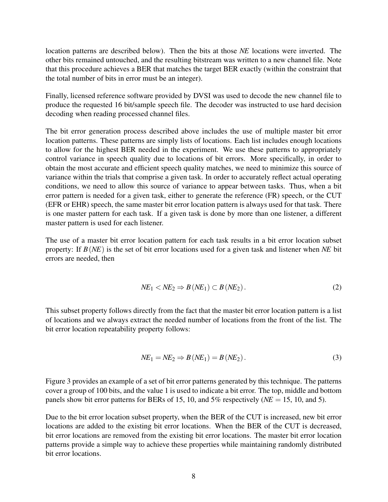location patterns are described below). Then the bits at those *NE* locations were inverted. The other bits remained untouched, and the resulting bitstream was written to a new channel file. Note that this procedure achieves a BER that matches the target BER exactly (within the constraint that the total number of bits in error must be an integer).

Finally, licensed reference software provided by DVSI was used to decode the new channel file to produce the requested 16 bit/sample speech file. The decoder was instructed to use hard decision decoding when reading processed channel files.

The bit error generation process described above includes the use of multiple master bit error location patterns. These patterns are simply lists of locations. Each list includes enough locations to allow for the highest BER needed in the experiment. We use these patterns to appropriately control variance in speech quality due to locations of bit errors. More specifically, in order to obtain the most accurate and efficient speech quality matches, we need to minimize this source of variance within the trials that comprise a given task. In order to accurately reflect actual operating conditions, we need to allow this source of variance to appear between tasks. Thus, when a bit error pattern is needed for a given task, either to generate the reference (FR) speech, or the CUT (EFR or EHR) speech, the same master bit error location pattern is always used for that task. There is one master pattern for each task. If a given task is done by more than one listener, a different master pattern is used for each listener.

The use of a master bit error location pattern for each task results in a bit error location subset property: If *B*(*NE*) is the set of bit error locations used for a given task and listener when *NE* bit errors are needed, then

$$
NE_1 < NE_2 \Rightarrow B\left(NE_1\right) \subset B\left(NE_2\right). \tag{2}
$$

This subset property follows directly from the fact that the master bit error location pattern is a list of locations and we always extract the needed number of locations from the front of the list. The bit error location repeatability property follows:

$$
NE_1 = NE_2 \Rightarrow B(NE_1) = B(NE_2).
$$
\n(3)

Figure 3 provides an example of a set of bit error patterns generated by this technique. The patterns cover a group of 100 bits, and the value 1 is used to indicate a bit error. The top, middle and bottom panels show bit error patterns for BERs of 15, 10, and 5% respectively (*NE* = 15, 10, and 5).

Due to the bit error location subset property, when the BER of the CUT is increased, new bit error locations are added to the existing bit error locations. When the BER of the CUT is decreased, bit error locations are removed from the existing bit error locations. The master bit error location patterns provide a simple way to achieve these properties while maintaining randomly distributed bit error locations.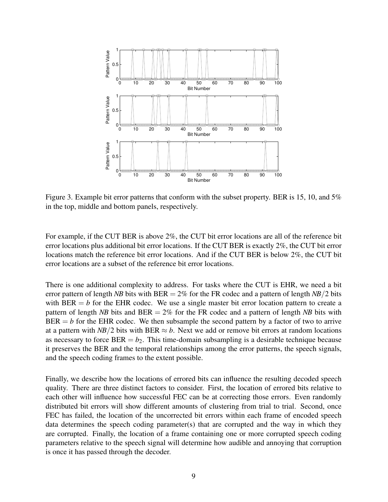

Figure 3. Example bit error patterns that conform with the subset property. BER is 15, 10, and 5% in the top, middle and bottom panels, respectively.

For example, if the CUT BER is above 2%, the CUT bit error locations are all of the reference bit error locations plus additional bit error locations. If the CUT BER is exactly 2%, the CUT bit error locations match the reference bit error locations. And if the CUT BER is below 2%, the CUT bit error locations are a subset of the reference bit error locations.

There is one additional complexity to address. For tasks where the CUT is EHR, we need a bit error pattern of length *NB* bits with BER = 2% for the FR codec and a pattern of length *NB*/2 bits with  $BER = b$  for the EHR codec. We use a single master bit error location pattern to create a pattern of length *NB* bits and BER  $= 2\%$  for the FR codec and a pattern of length *NB* bits with  $BER = b$  for the EHR codec. We then subsample the second pattern by a factor of two to arrive at a pattern with *NB*/2 bits with BER  $\approx$  *b*. Next we add or remove bit errors at random locations as necessary to force  $BER = b_2$ . This time-domain subsampling is a desirable technique because it preserves the BER and the temporal relationships among the error patterns, the speech signals, and the speech coding frames to the extent possible.

Finally, we describe how the locations of errored bits can influence the resulting decoded speech quality. There are three distinct factors to consider. First, the location of errored bits relative to each other will influence how successful FEC can be at correcting those errors. Even randomly distributed bit errors will show different amounts of clustering from trial to trial. Second, once FEC has failed, the location of the uncorrected bit errors within each frame of encoded speech data determines the speech coding parameter(s) that are corrupted and the way in which they are corrupted. Finally, the location of a frame containing one or more corrupted speech coding parameters relative to the speech signal will determine how audible and annoying that corruption is once it has passed through the decoder.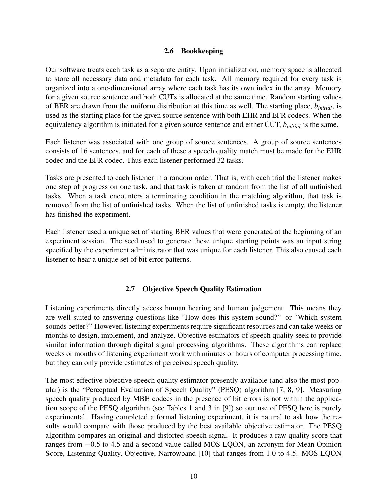#### 2.6 Bookkeeping

Our software treats each task as a separate entity. Upon initialization, memory space is allocated to store all necessary data and metadata for each task. All memory required for every task is organized into a one-dimensional array where each task has its own index in the array. Memory for a given source sentence and both CUTs is allocated at the same time. Random starting values of BER are drawn from the uniform distribution at this time as well. The starting place, *binitial*, is used as the starting place for the given source sentence with both EHR and EFR codecs. When the equivalency algorithm is initiated for a given source sentence and either CUT, *binitial* is the same.

Each listener was associated with one group of source sentences. A group of source sentences consists of 16 sentences, and for each of these a speech quality match must be made for the EHR codec and the EFR codec. Thus each listener performed 32 tasks.

Tasks are presented to each listener in a random order. That is, with each trial the listener makes one step of progress on one task, and that task is taken at random from the list of all unfinished tasks. When a task encounters a terminating condition in the matching algorithm, that task is removed from the list of unfinished tasks. When the list of unfinished tasks is empty, the listener has finished the experiment.

Each listener used a unique set of starting BER values that were generated at the beginning of an experiment session. The seed used to generate these unique starting points was an input string specified by the experiment administrator that was unique for each listener. This also caused each listener to hear a unique set of bit error patterns.

#### 2.7 Objective Speech Quality Estimation

Listening experiments directly access human hearing and human judgement. This means they are well suited to answering questions like "How does this system sound?" or "Which system sounds better?" However, listening experiments require significant resources and can take weeks or months to design, implement, and analyze. Objective estimators of speech quality seek to provide similar information through digital signal processing algorithms. These algorithms can replace weeks or months of listening experiment work with minutes or hours of computer processing time, but they can only provide estimates of perceived speech quality.

The most effective objective speech quality estimator presently available (and also the most popular) is the "Perceptual Evaluation of Speech Quality" (PESQ) algorithm [7, 8, 9]. Measuring speech quality produced by MBE codecs in the presence of bit errors is not within the application scope of the PESQ algorithm (see Tables 1 and 3 in [9]) so our use of PESQ here is purely experimental. Having completed a formal listening experiment, it is natural to ask how the results would compare with those produced by the best available objective estimator. The PESQ algorithm compares an original and distorted speech signal. It produces a raw quality score that ranges from −0*.*5 to 4*.*5 and a second value called MOS-LQON, an acronym for Mean Opinion Score, Listening Quality, Objective, Narrowband [10] that ranges from 1*.*0 to 4*.*5. MOS-LQON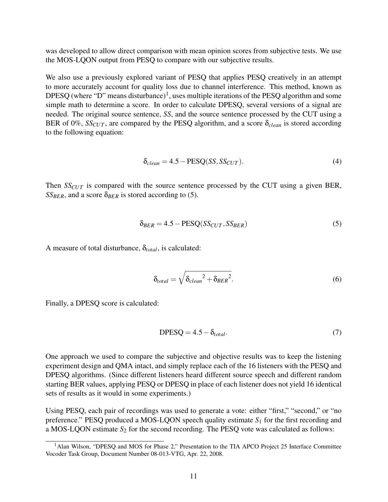was developed to allow direct comparison with mean opinion scores from subjective tests. We use the MOS-LQON output from PESQ to compare with our subjective results.

We also use a previously explored variant of PESQ that applies PESQ creatively in an attempt to more accurately account for quality loss due to channel interference. This method, known as DPESQ (where "D" means disturbance)<sup>1</sup>, uses multiple iterations of the PESQ algorithm and some simple math to determine a score. In order to calculate DPESQ, several versions of a signal are needed. The original source sentence, *SS*, and the source sentence processed by the CUT using a BER of 0%,  $SS_{CUT}$ , are compared by the PESQ algorithm, and a score  $\delta_{clean}$  is stored according to the following equation:

$$
\delta_{clean} = 4.5 - PESQ(SS, SS_{CUT}). \tag{4}
$$

Then *SS<sub>CUT</sub>* is compared with the source sentence processed by the CUT using a given BER, *SS<sub>BER</sub>*, and a score  $\delta_{BER}$  is stored according to (5).

$$
\delta_{BER} = 4.5 - PESQ(SS_{CUT}, SS_{BER})
$$
\n(5)

A measure of total disturbance,  $\delta_{total}$ , is calculated:

$$
\delta_{total} = \sqrt{\delta_{clean}^2 + \delta_{BER}^2}.
$$
\n(6)

Finally, a DPESQ score is calculated:

$$
DPESQ = 4.5 - \delta_{total}.
$$
 (7)

One approach we used to compare the subjective and objective results was to keep the listening experiment design and QMA intact, and simply replace each of the 16 listeners with the PESQ and DPESQ algorithms. (Since different listeners heard different source speech and different random starting BER values, applying PESQ or DPESQ in place of each listener does not yield 16 identical sets of results as it would in some experiments.)

Using PESQ, each pair of recordings was used to generate a vote: either "first," "second," or "no preference." PESQ produced a MOS-LQON speech quality estimate  $S_1$  for the first recording and a MOS-LQON estimate  $S_2$  for the second recording. The PESQ vote was calculated as follows:

<sup>&</sup>lt;sup>1</sup>Alan Wilson, "DPESQ and MOS for Phase 2," Presentation to the TIA APCO Project 25 Interface Committee Vocoder Task Group, Document Number 08-013-VTG, Apr. 22, 2008.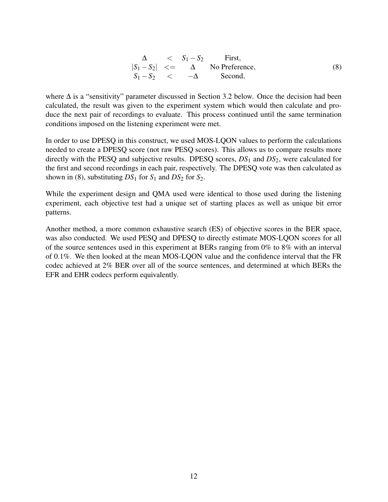$$
\begin{array}{rcl}\n\Delta < & S_1 - S_2 & \text{First,} \\
|S_1 - S_2| < = & \Delta & \text{No Preference,} \\
S_1 - S_2 < & -\Delta & \text{Second,}\n\end{array} \tag{8}
$$

where  $\Delta$  is a "sensitivity" parameter discussed in Section 3.2 below. Once the decision had been calculated, the result was given to the experiment system which would then calculate and produce the next pair of recordings to evaluate. This process continued until the same termination conditions imposed on the listening experiment were met.

In order to use DPESQ in this construct, we used MOS-LQON values to perform the calculations needed to create a DPESQ score (not raw PESQ scores). This allows us to compare results more directly with the PESQ and subjective results. DPESQ scores, *DS*<sup>1</sup> and *DS*2, were calculated for the first and second recordings in each pair, respectively. The DPESQ vote was then calculated as shown in (8), substituting  $DS_1$  for  $S_1$  and  $DS_2$  for  $S_2$ .

While the experiment design and QMA used were identical to those used during the listening experiment, each objective test had a unique set of starting places as well as unique bit error patterns.

Another method, a more common exhaustive search (ES) of objective scores in the BER space, was also conducted. We used PESQ and DPESQ to directly estimate MOS-LQON scores for all of the source sentences used in this experiment at BERs ranging from 0% to 8% with an interval of 0.1%. We then looked at the mean MOS-LQON value and the confidence interval that the FR codec achieved at 2% BER over all of the source sentences, and determined at which BERs the EFR and EHR codecs perform equivalently.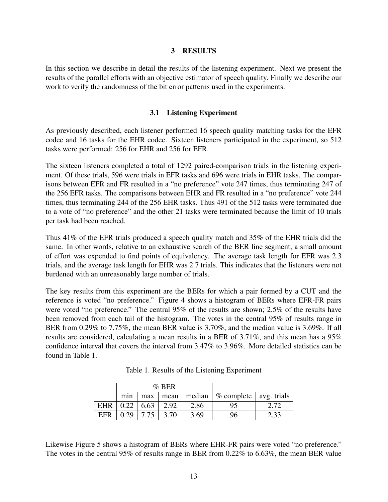#### 3 RESULTS

In this section we describe in detail the results of the listening experiment. Next we present the results of the parallel efforts with an objective estimator of speech quality. Finally we describe our work to verify the randomness of the bit error patterns used in the experiments.

#### 3.1 Listening Experiment

As previously described, each listener performed 16 speech quality matching tasks for the EFR codec and 16 tasks for the EHR codec. Sixteen listeners participated in the experiment, so 512 tasks were performed: 256 for EHR and 256 for EFR.

The sixteen listeners completed a total of 1292 paired-comparison trials in the listening experiment. Of these trials, 596 were trials in EFR tasks and 696 were trials in EHR tasks. The comparisons between EFR and FR resulted in a "no preference" vote 247 times, thus terminating 247 of the 256 EFR tasks. The comparisons between EHR and FR resulted in a "no preference" vote 244 times, thus terminating 244 of the 256 EHR tasks. Thus 491 of the 512 tasks were terminated due to a vote of "no preference" and the other 21 tasks were terminated because the limit of 10 trials per task had been reached.

Thus 41% of the EFR trials produced a speech quality match and 35% of the EHR trials did the same. In other words, relative to an exhaustive search of the BER line segment, a small amount of effort was expended to find points of equivalency. The average task length for EFR was 2.3 trials, and the average task length for EHR was 2.7 trials. This indicates that the listeners were not burdened with an unreasonably large number of trials.

The key results from this experiment are the BERs for which a pair formed by a CUT and the reference is voted "no preference." Figure 4 shows a histogram of BERs where EFR-FR pairs were voted "no preference." The central 95% of the results are shown; 2.5% of the results have been removed from each tail of the histogram. The votes in the central 95% of results range in BER from 0.29% to 7.75%, the mean BER value is 3.70%, and the median value is 3.69%. If all results are considered, calculating a mean results in a BER of 3.71%, and this mean has a 95% confidence interval that covers the interval from 3.47% to 3.96%. More detailed statistics can be found in Table 1.

Table 1. Results of the Listening Experiment

|                                              | $\%$ BER |                  |                                                         |      |
|----------------------------------------------|----------|------------------|---------------------------------------------------------|------|
|                                              |          |                  | $\min$   max   mean   median   % complete   avg. trials |      |
| EHR $\vert 0.22 \vert 6.63 \vert 2.92 \vert$ |          | $\frac{1}{2.86}$ |                                                         | 2.72 |
| EFR $\vert 0.29 \vert 7.75 \vert 3.70$       |          | 3.69             | 96                                                      | 2.33 |

Likewise Figure 5 shows a histogram of BERs where EHR-FR pairs were voted "no preference." The votes in the central 95% of results range in BER from 0.22% to 6.63%, the mean BER value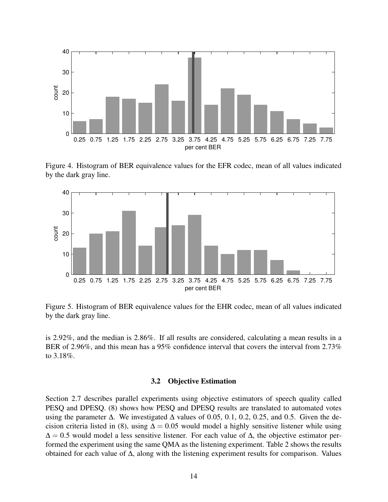

Figure 4. Histogram of BER equivalence values for the EFR codec, mean of all values indicated by the dark gray line.



Figure 5. Histogram of BER equivalence values for the EHR codec, mean of all values indicated by the dark gray line.

is 2.92%, and the median is 2.86%. If all results are considered, calculating a mean results in a BER of 2.96%, and this mean has a 95% confidence interval that covers the interval from 2.73% to 3.18%.

#### 3.2 Objective Estimation

Section 2.7 describes parallel experiments using objective estimators of speech quality called PESQ and DPESQ. (8) shows how PESQ and DPESQ results are translated to automated votes using the parameter ∆. We investigated ∆ values of 0*.*05, 0*.*1, 0*.*2, 0*.*25, and 0*.*5. Given the decision criteria listed in (8), using  $\Delta = 0.05$  would model a highly sensitive listener while using  $\Delta = 0.5$  would model a less sensitive listener. For each value of  $\Delta$ , the objective estimator performed the experiment using the same QMA as the listening experiment. Table 2 shows the results obtained for each value of ∆, along with the listening experiment results for comparison. Values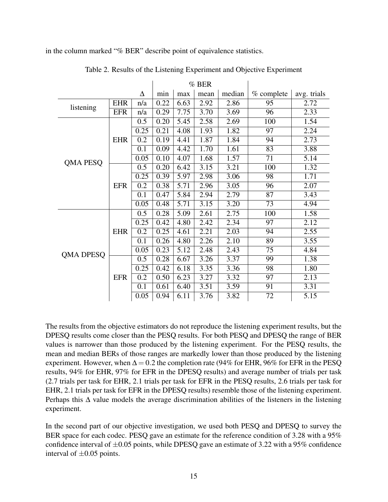in the column marked "% BER" describe point of equivalence statistics.

|           |            |      | $%$ BER |      |      |        |                 |             |
|-----------|------------|------|---------|------|------|--------|-----------------|-------------|
|           |            | Δ    | min     | max  | mean | median | % complete      | avg. trials |
| listening | <b>EHR</b> | n/a  | 0.22    | 6.63 | 2.92 | 2.86   | 95              | 2.72        |
|           | <b>EFR</b> | n/a  | 0.29    | 7.75 | 3.70 | 3.69   | 96              | 2.33        |
|           |            | 0.5  | 0.20    | 5.45 | 2.58 | 2.69   | 100             | 1.54        |
|           |            | 0.25 | 0.21    | 4.08 | 1.93 | 1.82   | 97              | 2.24        |
|           | <b>EHR</b> | 0.2  | 0.19    | 4.41 | 1.87 | 1.84   | 94              | 2.73        |
|           |            | 0.1  | 0.09    | 4.42 | 1.70 | 1.61   | 83              | 3.88        |
| QMA PESQ  |            | 0.05 | 0.10    | 4.07 | 1.68 | 1.57   | 71              | 5.14        |
|           |            | 0.5  | 0.20    | 6.42 | 3.15 | 3.21   | 100             | 1.32        |
|           |            | 0.25 | 0.39    | 5.97 | 2.98 | 3.06   | 98              | 1.71        |
|           | <b>EFR</b> | 0.2  | 0.38    | 5.71 | 2.96 | 3.05   | 96              | 2.07        |
|           |            | 0.1  | 0.47    | 5.84 | 2.94 | 2.79   | 87              | 3.43        |
|           |            | 0.05 | 0.48    | 5.71 | 3.15 | 3.20   | 73              | 4.94        |
|           | <b>EHR</b> | 0.5  | 0.28    | 5.09 | 2.61 | 2.75   | 100             | 1.58        |
|           |            | 0.25 | 0.42    | 4.80 | 2.42 | 2.34   | 97              | 2.12        |
|           |            | 0.2  | 0.25    | 4.61 | 2.21 | 2.03   | 94              | 2.55        |
|           |            | 0.1  | 0.26    | 4.80 | 2.26 | 2.10   | 89              | 3.55        |
| QMA DPESQ |            | 0.05 | 0.23    | 5.12 | 2.48 | 2.43   | $\overline{75}$ | 4.84        |
|           | <b>EFR</b> | 0.5  | 0.28    | 6.67 | 3.26 | 3.37   | 99              | 1.38        |
|           |            | 0.25 | 0.42    | 6.18 | 3.35 | 3.36   | 98              | 1.80        |
|           |            | 0.2  | 0.50    | 6.23 | 3.27 | 3.32   | 97              | 2.13        |
|           |            | 0.1  | 0.61    | 6.40 | 3.51 | 3.59   | 91              | 3.31        |
|           |            | 0.05 | 0.94    | 6.11 | 3.76 | 3.82   | 72              | 5.15        |

Table 2. Results of the Listening Experiment and Objective Experiment

The results from the objective estimators do not reproduce the listening experiment results, but the DPESQ results come closer than the PESQ results. For both PESQ and DPESQ the range of BER values is narrower than those produced by the listening experiment. For the PESQ results, the mean and median BERs of those ranges are markedly lower than those produced by the listening experiment. However, when  $\Delta = 0.2$  the completion rate (94% for EHR, 96% for EFR in the PESQ results, 94% for EHR, 97% for EFR in the DPESQ results) and average number of trials per task (2.7 trials per task for EHR, 2.1 trials per task for EFR in the PESQ results, 2.6 trials per task for EHR, 2.1 trials per task for EFR in the DPESQ results) resemble those of the listening experiment. Perhaps this  $\Delta$  value models the average discrimination abilities of the listeners in the listening experiment.

In the second part of our objective investigation, we used both PESQ and DPESQ to survey the BER space for each codec. PESQ gave an estimate for the reference condition of 3.28 with a 95% confidence interval of  $\pm 0.05$  points, while DPESQ gave an estimate of 3.22 with a 95% confidence interval of  $\pm 0.05$  points.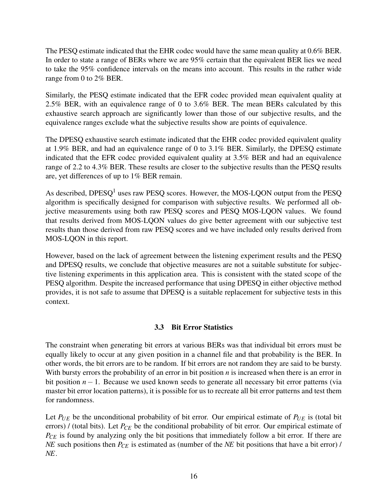The PESQ estimate indicated that the EHR codec would have the same mean quality at 0.6% BER. In order to state a range of BERs where we are 95% certain that the equivalent BER lies we need to take the 95% confidence intervals on the means into account. This results in the rather wide range from 0 to 2% BER.

Similarly, the PESQ estimate indicated that the EFR codec provided mean equivalent quality at 2.5% BER, with an equivalence range of 0 to 3.6% BER. The mean BERs calculated by this exhaustive search approach are significantly lower than those of our subjective results, and the equivalence ranges exclude what the subjective results show are points of equivalence.

The DPESQ exhaustive search estimate indicated that the EHR codec provided equivalent quality at 1.9% BER, and had an equivalence range of 0 to 3.1% BER. Similarly, the DPESQ estimate indicated that the EFR codec provided equivalent quality at 3.5% BER and had an equivalence range of 2.2 to 4.3% BER. These results are closer to the subjective results than the PESQ results are, yet differences of up to 1% BER remain.

As described,  $DPESQ<sup>1</sup>$  uses raw PESQ scores. However, the MOS-LQON output from the PESQ algorithm is specifically designed for comparison with subjective results. We performed all objective measurements using both raw PESQ scores and PESQ MOS-LQON values. We found that results derived from MOS-LQON values do give better agreement with our subjective test results than those derived from raw PESQ scores and we have included only results derived from MOS-LQON in this report.

However, based on the lack of agreement between the listening experiment results and the PESQ and DPESQ results, we conclude that objective measures are not a suitable substitute for subjective listening experiments in this application area. This is consistent with the stated scope of the PESQ algorithm. Despite the increased performance that using DPESQ in either objective method provides, it is not safe to assume that DPESQ is a suitable replacement for subjective tests in this context.

#### 3.3 Bit Error Statistics

The constraint when generating bit errors at various BERs was that individual bit errors must be equally likely to occur at any given position in a channel file and that probability is the BER. In other words, the bit errors are to be random. If bit errors are not random they are said to be bursty. With bursty errors the probability of an error in bit position *n* is increased when there is an error in bit position *n*−1. Because we used known seeds to generate all necessary bit error patterns (via master bit error location patterns), it is possible for us to recreate all bit error patterns and test them for randomness.

Let  $P_{UE}$  be the unconditional probability of bit error. Our empirical estimate of  $P_{UE}$  is (total bit errors) / (total bits). Let  $P_{CE}$  be the conditional probability of bit error. Our empirical estimate of *P<sub>CE</sub>* is found by analyzing only the bit positions that immediately follow a bit error. If there are *NE* such positions then  $P_{CE}$  is estimated as (number of the *NE* bit positions that have a bit error) / *NE*.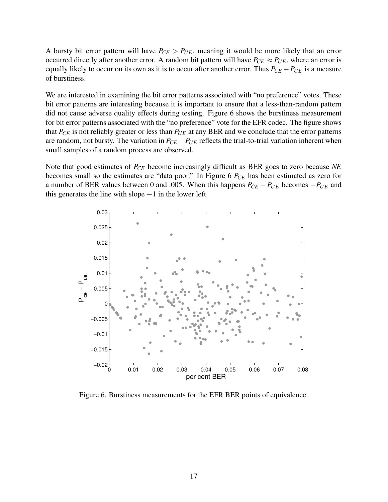A bursty bit error pattern will have  $P_{CE} > P_{UE}$ , meaning it would be more likely that an error occurred directly after another error. A random bit pattern will have  $P_{CE} \approx P_{UE}$ , where an error is equally likely to occur on its own as it is to occur after another error. Thus  $P_{CE} - P_{UE}$  is a measure of burstiness.

We are interested in examining the bit error patterns associated with "no preference" votes. These bit error patterns are interesting because it is important to ensure that a less-than-random pattern did not cause adverse quality effects during testing. Figure 6 shows the burstiness measurement for bit error patterns associated with the "no preference" vote for the EFR codec. The figure shows that  $P_{CE}$  is not reliably greater or less than  $P_{UE}$  at any BER and we conclude that the error patterns are random, not bursty. The variation in  $P_{CE} - P_{UE}$  reflects the trial-to-trial variation inherent when small samples of a random process are observed.

Note that good estimates of *PCE* become increasingly difficult as BER goes to zero because *NE* becomes small so the estimates are "data poor." In Figure 6  $P_{CE}$  has been estimated as zero for a number of BER values between 0 and .005. When this happens *PCE* −*PUE* becomes −*PUE* and this generates the line with slope  $-1$  in the lower left.



Figure 6. Burstiness measurements for the EFR BER points of equivalence.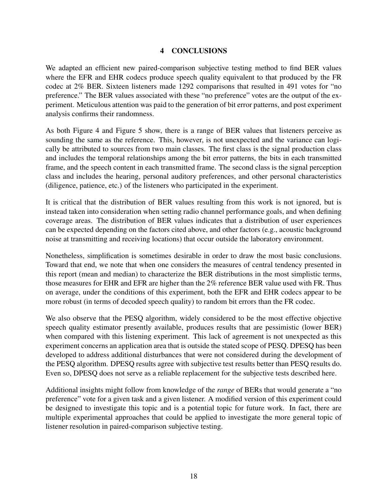#### 4 CONCLUSIONS

We adapted an efficient new paired-comparison subjective testing method to find BER values where the EFR and EHR codecs produce speech quality equivalent to that produced by the FR codec at 2% BER. Sixteen listeners made 1292 comparisons that resulted in 491 votes for "no preference." The BER values associated with these "no preference" votes are the output of the experiment. Meticulous attention was paid to the generation of bit error patterns, and post experiment analysis confirms their randomness.

As both Figure 4 and Figure 5 show, there is a range of BER values that listeners perceive as sounding the same as the reference. This, however, is not unexpected and the variance can logically be attributed to sources from two main classes. The first class is the signal production class and includes the temporal relationships among the bit error patterns, the bits in each transmitted frame, and the speech content in each transmitted frame. The second class is the signal perception class and includes the hearing, personal auditory preferences, and other personal characteristics (diligence, patience, etc.) of the listeners who participated in the experiment.

It is critical that the distribution of BER values resulting from this work is not ignored, but is instead taken into consideration when setting radio channel performance goals, and when defining coverage areas. The distribution of BER values indicates that a distribution of user experiences can be expected depending on the factors cited above, and other factors (e.g., acoustic background noise at transmitting and receiving locations) that occur outside the laboratory environment.

Nonetheless, simplification is sometimes desirable in order to draw the most basic conclusions. Toward that end, we note that when one considers the measures of central tendency presented in this report (mean and median) to characterize the BER distributions in the most simplistic terms, those measures for EHR and EFR are higher than the 2% reference BER value used with FR. Thus on average, under the conditions of this experiment, both the EFR and EHR codecs appear to be more robust (in terms of decoded speech quality) to random bit errors than the FR codec.

We also observe that the PESQ algorithm, widely considered to be the most effective objective speech quality estimator presently available, produces results that are pessimistic (lower BER) when compared with this listening experiment. This lack of agreement is not unexpected as this experiment concerns an application area that is outside the stated scope of PESQ. DPESQ has been developed to address additional disturbances that were not considered during the development of the PESQ algorithm. DPESQ results agree with subjective test results better than PESQ results do. Even so, DPESQ does not serve as a reliable replacement for the subjective tests described here.

Additional insights might follow from knowledge of the *range* of BERs that would generate a "no preference" vote for a given task and a given listener. A modified version of this experiment could be designed to investigate this topic and is a potential topic for future work. In fact, there are multiple experimental approaches that could be applied to investigate the more general topic of listener resolution in paired-comparison subjective testing.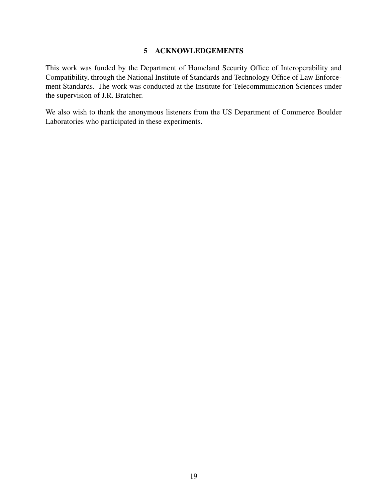#### 5 ACKNOWLEDGEMENTS

This work was funded by the Department of Homeland Security Office of Interoperability and Compatibility, through the National Institute of Standards and Technology Office of Law Enforcement Standards. The work was conducted at the Institute for Telecommunication Sciences under the supervision of J.R. Bratcher.

We also wish to thank the anonymous listeners from the US Department of Commerce Boulder Laboratories who participated in these experiments.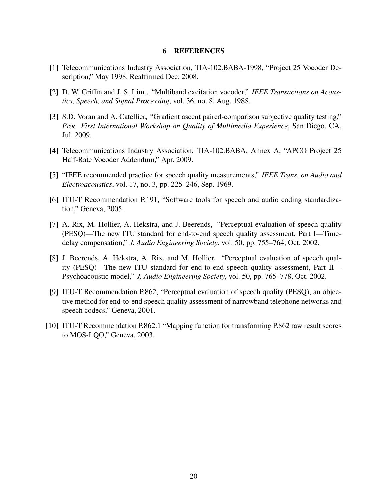#### 6 REFERENCES

- [1] Telecommunications Industry Association, TIA-102.BABA-1998, "Project 25 Vocoder Description," May 1998. Reaffirmed Dec. 2008.
- [2] D. W. Griffin and J. S. Lim., "Multiband excitation vocoder," *IEEE Transactions on Acoustics, Speech, and Signal Processing*, vol. 36, no. 8, Aug. 1988.
- [3] S.D. Voran and A. Catellier, "Gradient ascent paired-comparison subjective quality testing," *Proc. First International Workshop on Quality of Multimedia Experience*, San Diego, CA, Jul. 2009.
- [4] Telecommunications Industry Association, TIA-102.BABA, Annex A, "APCO Project 25 Half-Rate Vocoder Addendum," Apr. 2009.
- [5] "IEEE recommended practice for speech quality measurements," *IEEE Trans. on Audio and Electroacoustics*, vol. 17, no. 3, pp. 225–246, Sep. 1969.
- [6] ITU-T Recommendation P.191, "Software tools for speech and audio coding standardization," Geneva, 2005.
- [7] A. Rix, M. Hollier, A. Hekstra, and J. Beerends, "Perceptual evaluation of speech quality (PESQ)—The new ITU standard for end-to-end speech quality assessment, Part I—Timedelay compensation," *J. Audio Engineering Society*, vol. 50, pp. 755–764, Oct. 2002.
- [8] J. Beerends, A. Hekstra, A. Rix, and M. Hollier, "Perceptual evaluation of speech quality (PESQ)—The new ITU standard for end-to-end speech quality assessment, Part II— Psychoacoustic model," *J. Audio Engineering Society*, vol. 50, pp. 765–778, Oct. 2002.
- [9] ITU-T Recommendation P.862, "Perceptual evaluation of speech quality (PESQ), an objective method for end-to-end speech quality assessment of narrowband telephone networks and speech codecs," Geneva, 2001.
- [10] ITU-T Recommendation P.862.1 "Mapping function for transforming P.862 raw result scores to MOS-LQO," Geneva, 2003.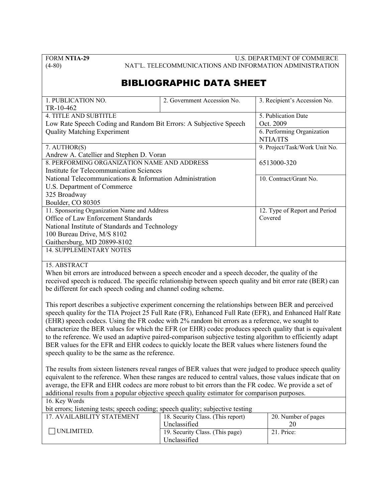FORM **NTIA-29** U.S. DEPARTMENT OF COMMERCE (4-80) NAT'L. TELECOMMUNICATIONS AND INFORMATION ADMINISTRATION

## BIBLIOGRAPHIC DATA SHEET

| 1. PUBLICATION NO.                                                | 2. Government Accession No. | 3. Recipient's Accession No.  |  |  |  |  |
|-------------------------------------------------------------------|-----------------------------|-------------------------------|--|--|--|--|
| TR-10-462                                                         |                             |                               |  |  |  |  |
| <b>4. TITLE AND SUBTITLE</b>                                      |                             | 5. Publication Date           |  |  |  |  |
| Low Rate Speech Coding and Random Bit Errors: A Subjective Speech |                             | Oct. 2009                     |  |  |  |  |
| <b>Quality Matching Experiment</b>                                |                             | 6. Performing Organization    |  |  |  |  |
|                                                                   |                             | NTIA/ITS                      |  |  |  |  |
| 7. AUTHOR(S)                                                      |                             | 9. Project/Task/Work Unit No. |  |  |  |  |
| Andrew A. Catellier and Stephen D. Voran                          |                             |                               |  |  |  |  |
| 8. PERFORMING ORGANIZATION NAME AND ADDRESS                       |                             | 6513000-320                   |  |  |  |  |
| Institute for Telecommunication Sciences                          |                             |                               |  |  |  |  |
| National Telecommunications & Information Administration          | 10. Contract/Grant No.      |                               |  |  |  |  |
| U.S. Department of Commerce                                       |                             |                               |  |  |  |  |
| 325 Broadway                                                      |                             |                               |  |  |  |  |
| Boulder, CO 80305                                                 |                             |                               |  |  |  |  |
| 11. Sponsoring Organization Name and Address                      |                             | 12. Type of Report and Period |  |  |  |  |
| Office of Law Enforcement Standards                               | Covered                     |                               |  |  |  |  |
| National Institute of Standards and Technology                    |                             |                               |  |  |  |  |
| 100 Bureau Drive, M/S 8102                                        |                             |                               |  |  |  |  |
| Gaithersburg, MD 20899-8102                                       |                             |                               |  |  |  |  |
| <b>14. SUPPLEMENTARY NOTES</b>                                    |                             |                               |  |  |  |  |
|                                                                   |                             |                               |  |  |  |  |

#### 15. ABSTRACT

When bit errors are introduced between a speech encoder and a speech decoder, the quality of the received speech is reduced. The specific relationship between speech quality and bit error rate (BER) can be different for each speech coding and channel coding scheme.

This report describes a subjective experiment concerning the relationships between BER and perceived speech quality for the TIA Project 25 Full Rate (FR), Enhanced Full Rate (EFR), and Enhanced Half Rate (EHR) speech codecs. Using the FR codec with 2% random bit errors as a reference, we sought to characterize the BER values for which the EFR (or EHR) codec produces speech quality that is equivalent to the reference. We used an adaptive paired-comparison subjective testing algorithm to efficiently adapt BER values for the EFR and EHR codecs to quickly locate the BER values where listeners found the speech quality to be the same as the reference.

The results from sixteen listeners reveal ranges of BER values that were judged to produce speech quality equivalent to the reference. When these ranges are reduced to central values, those values indicate that on average, the EFR and EHR codecs are more robust to bit errors than the FR codec. We provide a set of additional results from a popular objective speech quality estimator for comparison purposes.

#### 16. Key Words

bit errors; listening tests; speech coding; speech quality; subjective testing

| 17. AVAILABILITY STATEMENT | 18. Security Class. (This report) | 20. Number of pages |
|----------------------------|-----------------------------------|---------------------|
|                            | Unclassified                      |                     |
| UNLIMITED.                 | 19. Security Class. (This page)   | 21. Price:          |
|                            | Unclassified                      |                     |